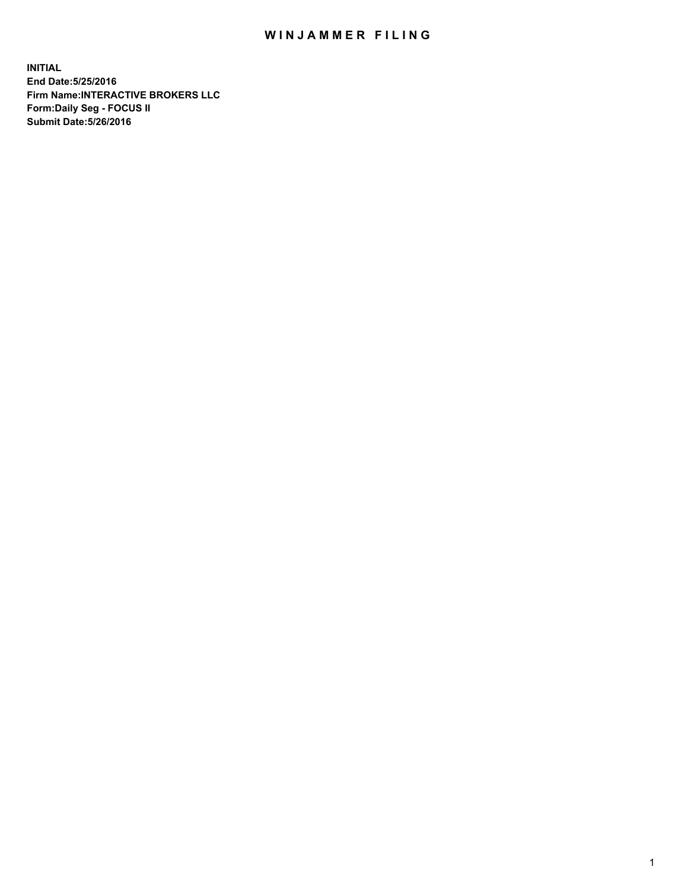## WIN JAMMER FILING

**INITIAL End Date:5/25/2016 Firm Name:INTERACTIVE BROKERS LLC Form:Daily Seg - FOCUS II Submit Date:5/26/2016**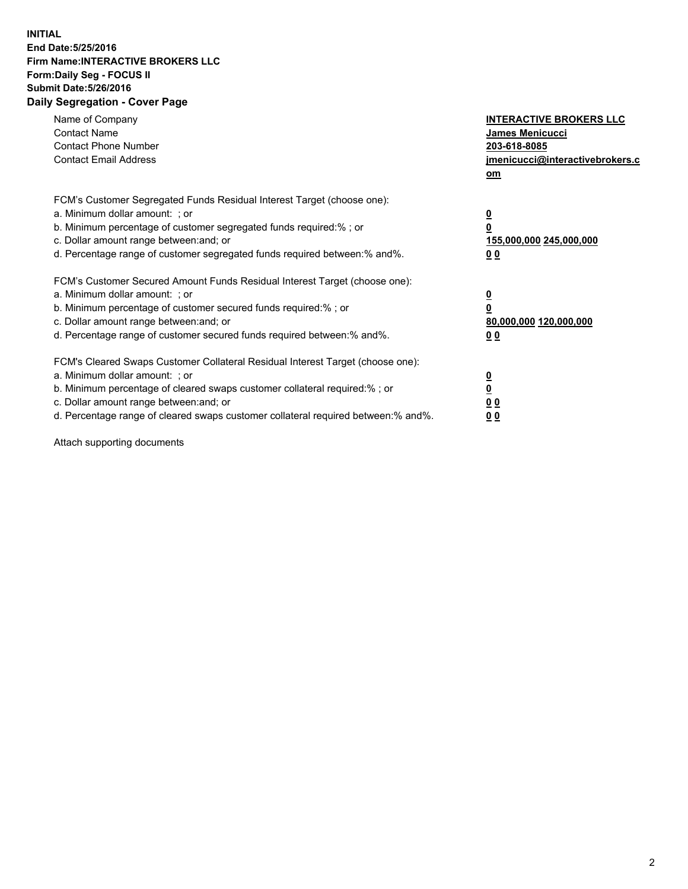## **INITIAL End Date:5/25/2016 Firm Name:INTERACTIVE BROKERS LLC Form:Daily Seg - FOCUS II Submit Date:5/26/2016 Daily Segregation - Cover Page**

| Name of Company<br><b>Contact Name</b><br><b>Contact Phone Number</b><br><b>Contact Email Address</b>                                                                                                                                                                                                                          | <b>INTERACTIVE BROKERS LLC</b><br>James Menicucci<br>203-618-8085<br>jmenicucci@interactivebrokers.c<br>om |
|--------------------------------------------------------------------------------------------------------------------------------------------------------------------------------------------------------------------------------------------------------------------------------------------------------------------------------|------------------------------------------------------------------------------------------------------------|
| FCM's Customer Segregated Funds Residual Interest Target (choose one):<br>a. Minimum dollar amount: ; or<br>b. Minimum percentage of customer segregated funds required:%; or<br>c. Dollar amount range between: and; or<br>d. Percentage range of customer segregated funds required between:% and%.                          | $\overline{\mathbf{0}}$<br>0<br>155,000,000 245,000,000<br>0 <sub>0</sub>                                  |
| FCM's Customer Secured Amount Funds Residual Interest Target (choose one):<br>a. Minimum dollar amount: ; or<br>b. Minimum percentage of customer secured funds required:%; or<br>c. Dollar amount range between: and; or<br>d. Percentage range of customer secured funds required between:% and%.                            | $\overline{\mathbf{0}}$<br>$\overline{\mathbf{0}}$<br>80,000,000 120,000,000<br>00                         |
| FCM's Cleared Swaps Customer Collateral Residual Interest Target (choose one):<br>a. Minimum dollar amount: ; or<br>b. Minimum percentage of cleared swaps customer collateral required:% ; or<br>c. Dollar amount range between: and; or<br>d. Percentage range of cleared swaps customer collateral required between:% and%. | $\overline{\mathbf{0}}$<br>$\overline{\mathbf{0}}$<br>0 <sub>0</sub><br><u>00</u>                          |

Attach supporting documents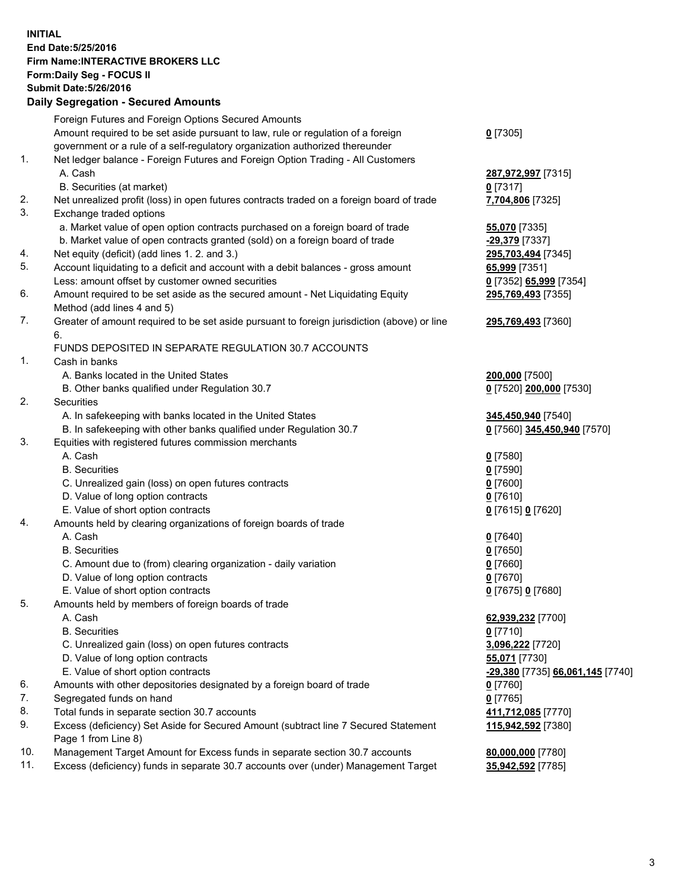## **INITIAL End Date:5/25/2016 Firm Name:INTERACTIVE BROKERS LLC Form:Daily Seg - FOCUS II Submit Date:5/26/2016 Daily Segregation - Secured Amounts**

|     | Daily Jegregation - Jeculed Aniounts                                                                       |                                  |
|-----|------------------------------------------------------------------------------------------------------------|----------------------------------|
|     | Foreign Futures and Foreign Options Secured Amounts                                                        |                                  |
|     | Amount required to be set aside pursuant to law, rule or regulation of a foreign                           | $0$ [7305]                       |
|     | government or a rule of a self-regulatory organization authorized thereunder                               |                                  |
| 1.  | Net ledger balance - Foreign Futures and Foreign Option Trading - All Customers                            |                                  |
|     | A. Cash                                                                                                    | 287,972,997 [7315]               |
|     | B. Securities (at market)                                                                                  | 0 [7317]                         |
| 2.  | Net unrealized profit (loss) in open futures contracts traded on a foreign board of trade                  | 7,704,806 [7325]                 |
| 3.  | Exchange traded options                                                                                    |                                  |
|     | a. Market value of open option contracts purchased on a foreign board of trade                             | <b>55,070</b> [7335]             |
|     | b. Market value of open contracts granted (sold) on a foreign board of trade                               | -29,379 [7337]                   |
| 4.  | Net equity (deficit) (add lines 1.2. and 3.)                                                               | 295,703,494 [7345]               |
| 5.  | Account liquidating to a deficit and account with a debit balances - gross amount                          | 65,999 [7351]                    |
|     | Less: amount offset by customer owned securities                                                           | 0 [7352] 65,999 [7354]           |
| 6.  | Amount required to be set aside as the secured amount - Net Liquidating Equity                             | 295,769,493 [7355]               |
|     | Method (add lines 4 and 5)                                                                                 |                                  |
| 7.  | Greater of amount required to be set aside pursuant to foreign jurisdiction (above) or line                | 295,769,493 [7360]               |
|     | 6.                                                                                                         |                                  |
|     | FUNDS DEPOSITED IN SEPARATE REGULATION 30.7 ACCOUNTS                                                       |                                  |
| 1.  | Cash in banks                                                                                              |                                  |
|     | A. Banks located in the United States                                                                      | 200,000 [7500]                   |
|     | B. Other banks qualified under Regulation 30.7                                                             | 0 [7520] 200,000 [7530]          |
| 2.  | Securities                                                                                                 |                                  |
|     | A. In safekeeping with banks located in the United States                                                  | 345,450,940 [7540]               |
|     | B. In safekeeping with other banks qualified under Regulation 30.7                                         | 0 [7560] 345,450,940 [7570]      |
| 3.  | Equities with registered futures commission merchants                                                      |                                  |
|     | A. Cash                                                                                                    | $0$ [7580]                       |
|     | <b>B.</b> Securities                                                                                       | $0$ [7590]                       |
|     | C. Unrealized gain (loss) on open futures contracts                                                        | $0$ [7600]                       |
|     | D. Value of long option contracts                                                                          | $0$ [7610]                       |
|     | E. Value of short option contracts                                                                         | 0 [7615] 0 [7620]                |
| 4.  | Amounts held by clearing organizations of foreign boards of trade                                          |                                  |
|     | A. Cash                                                                                                    | $0$ [7640]                       |
|     | <b>B.</b> Securities                                                                                       | $0$ [7650]                       |
|     | C. Amount due to (from) clearing organization - daily variation                                            | $0$ [7660]                       |
|     | D. Value of long option contracts                                                                          | $0$ [7670]                       |
|     | E. Value of short option contracts                                                                         | 0 [7675] 0 [7680]                |
| 5.  | Amounts held by members of foreign boards of trade                                                         |                                  |
|     | A. Cash                                                                                                    | 62,939,232 [7700]                |
|     | <b>B.</b> Securities                                                                                       | $0$ [7710]                       |
|     | C. Unrealized gain (loss) on open futures contracts                                                        | 3,096,222 [7720]                 |
|     | D. Value of long option contracts                                                                          | 55,071 [7730]                    |
|     | E. Value of short option contracts                                                                         | -29,380 [7735] 66,061,145 [7740] |
| 6.  | Amounts with other depositories designated by a foreign board of trade                                     | 0 [7760]                         |
| 7.  | Segregated funds on hand                                                                                   | $0$ [7765]                       |
| 8.  | Total funds in separate section 30.7 accounts                                                              | 411,712,085 [7770]               |
| 9.  | Excess (deficiency) Set Aside for Secured Amount (subtract line 7 Secured Statement<br>Page 1 from Line 8) | 115,942,592 [7380]               |
| 10. | Management Target Amount for Excess funds in separate section 30.7 accounts                                | 80,000,000 [7780]                |
| 11. | Excess (deficiency) funds in separate 30.7 accounts over (under) Management Target                         | 35,942,592 [7785]                |
|     |                                                                                                            |                                  |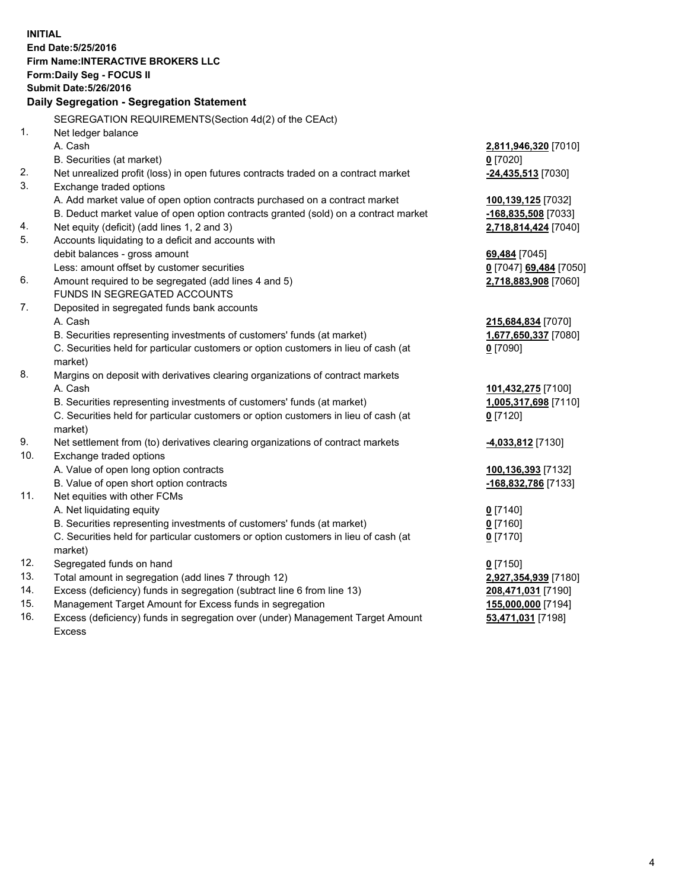**INITIAL End Date:5/25/2016 Firm Name:INTERACTIVE BROKERS LLC Form:Daily Seg - FOCUS II Submit Date:5/26/2016 Daily Segregation - Segregation Statement** SEGREGATION REQUIREMENTS(Section 4d(2) of the CEAct) 1. Net ledger balance A. Cash **2,811,946,320** [7010] B. Securities (at market) **0** [7020] 2. Net unrealized profit (loss) in open futures contracts traded on a contract market **-24,435,513** [7030] 3. Exchange traded options A. Add market value of open option contracts purchased on a contract market **100,139,125** [7032] B. Deduct market value of open option contracts granted (sold) on a contract market **-168,835,508** [7033] 4. Net equity (deficit) (add lines 1, 2 and 3) **2,718,814,424** [7040] 5. Accounts liquidating to a deficit and accounts with debit balances - gross amount **69,484** [7045] Less: amount offset by customer securities **0** [7047] **69,484** [7050] 6. Amount required to be segregated (add lines 4 and 5) **2,718,883,908** [7060] FUNDS IN SEGREGATED ACCOUNTS 7. Deposited in segregated funds bank accounts A. Cash **215,684,834** [7070] B. Securities representing investments of customers' funds (at market) **1,677,650,337** [7080] C. Securities held for particular customers or option customers in lieu of cash (at market) **0** [7090] 8. Margins on deposit with derivatives clearing organizations of contract markets A. Cash **101,432,275** [7100] B. Securities representing investments of customers' funds (at market) **1,005,317,698** [7110] C. Securities held for particular customers or option customers in lieu of cash (at market) **0** [7120] 9. Net settlement from (to) derivatives clearing organizations of contract markets **-4,033,812** [7130] 10. Exchange traded options A. Value of open long option contracts **100,136,393** [7132] B. Value of open short option contracts **-168,832,786** [7133] 11. Net equities with other FCMs A. Net liquidating equity **0** [7140] B. Securities representing investments of customers' funds (at market) **0** [7160] C. Securities held for particular customers or option customers in lieu of cash (at market) **0** [7170] 12. Segregated funds on hand **0** [7150] 13. Total amount in segregation (add lines 7 through 12) **2,927,354,939** [7180] 14. Excess (deficiency) funds in segregation (subtract line 6 from line 13) **208,471,031** [7190] 15. Management Target Amount for Excess funds in segregation **155,000,000** [7194] **53,471,031** [7198]

16. Excess (deficiency) funds in segregation over (under) Management Target Amount Excess